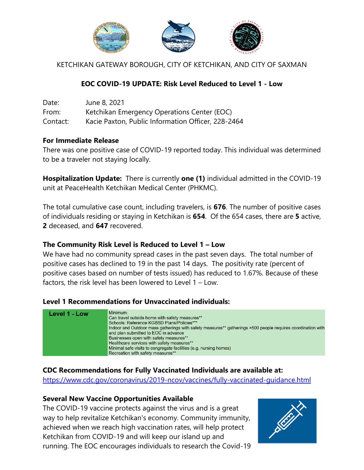

KETCHIKAN GATEWAY BOROUGH, CITY OF KETCHIKAN, AND CITY OF SAXMAN

### **EOC COVID-19 UPDATE: Risk Level Reduced to Level 1 - Low**

| Date:    | June 8, 2021                                       |
|----------|----------------------------------------------------|
| From:    | Ketchikan Emergency Operations Center (EOC)        |
| Contact: | Kacie Paxton, Public Information Officer, 228-2464 |

### **For Immediate Release**

There was one positive case of COVID-19 reported today. This individual was determined to be a traveler not staying locally.

**Hospitalization Update:** There is currently **one (1)** individual admitted in the COVID-19 unit at PeaceHealth Ketchikan Medical Center (PHKMC).

The total cumulative case count, including travelers, is **676**. The number of positive cases of individuals residing or staying in Ketchikan is **654**. Of the 654 cases, there are **5** active, **2** deceased, and **647** recovered.

### **The Community Risk Level is Reduced to Level 1 – Low**

We have had no community spread cases in the past seven days. The total number of positive cases has declined to 19 in the past 14 days. The positivity rate (percent of positive cases based on number of tests issued) has reduced to 1.67%. Because of these factors, the risk level has been lowered to Level 1 – Low.

### **Level 1 Recommendations for Unvaccinated individuals:**



## **CDC Recommendations for Fully Vaccinated Individuals are available at:**

<https://www.cdc.gov/coronavirus/2019-ncov/vaccines/fully-vaccinated-guidance.html>

### **Several New Vaccine Opportunities Available**

The COVID-19 vaccine protects against the virus and is a great way to help revitalize Ketchikan's economy. Community immunity, achieved when we reach high vaccination rates, will help protect Ketchikan from COVID-19 and will keep our island up and running. The EOC encourages individuals to research the Covid-19